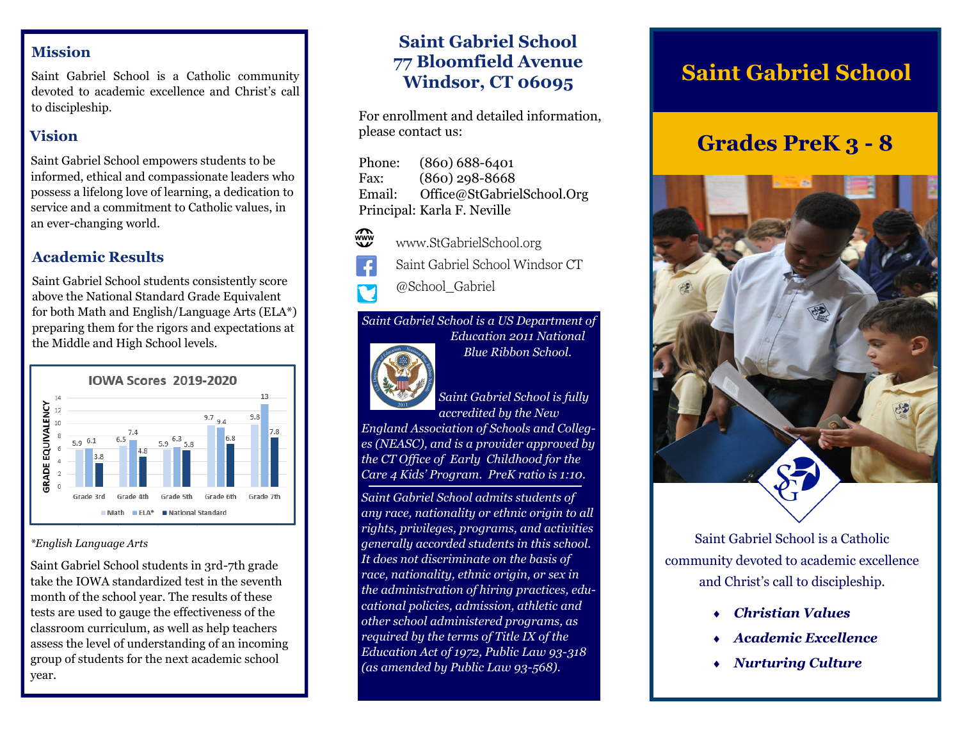#### **Mission**

Saint Gabriel School is a Catholic community devoted to academic excellence and Christ's call to discipleship.

#### **Vision**

Saint Gabriel School empowers students to be informed, ethical and compassionate leaders who possess a lifelong love of learning, a dedication to service and a commitment to Catholic values, in an ever-changing world.

#### **Academic Results**

Saint Gabriel School students consistently score above the National Standard Grade Equivalent for both Math and English/Language Arts (ELA\*) preparing them for the rigors and expectations at the Middle and High School levels.



#### *\*English Language Arts*

Saint Gabriel School students in 3rd-7th grade take the IOWA standardized test in the seventh month of the school year. The results of these tests are used to gauge the effectiveness of the classroom curriculum, as well as help teachers assess the level of understanding of an incoming group of students for the next academic school year.

### **Saint Gabriel School 77 Bloomfield Avenue Windsor, CT 06095**

For enrollment and detailed information, please contact us:

| Phone: | $(860) 688 - 6401$          |
|--------|-----------------------------|
| Fax:   | $(860)$ 298-8668            |
| Email: | Office@StGabrielSchool.Org  |
|        | Principal: Karla F. Neville |

- www.StGabrielSchool.org
- Saint Gabriel School Windsor CT
- @School\_Gabriel

# *Saint Gabriel School is a US Department of*



*Education 2011 National Blue Ribbon School.* 

*Saint Gabriel School is fully accredited by the New* 

*England Association of Schools and Colleges (NEASC), and is a provider approved by the CT Office of Early Childhood for the Care 4 Kids' Program. PreK ratio is 1:10.*

*Saint Gabriel School admits students of any race, nationality or ethnic origin to all rights, privileges, programs, and activities generally accorded students in this school. It does not discriminate on the basis of race, nationality, ethnic origin, or sex in the administration of hiring practices, educational policies, admission, athletic and other school administered programs, as required by the terms of Title IX of the Education Act of 1972, Public Law 93-318 (as amended by Public Law 93-568).*

# **Saint Gabriel School**

# **Grades PreK 3 - 8**



Saint Gabriel School is a Catholic community devoted to academic excellence and Christ's call to discipleship.

- *Christian Values*
- *Academic Excellence*
- *Nurturing Culture*